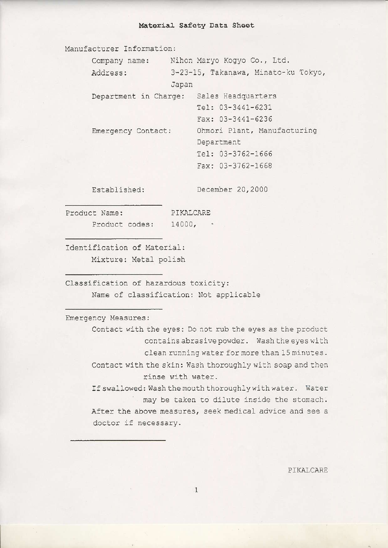## Material Safety Data Sheet

Manufacturer Information:

| Company name:         |       | Nihon Maryo Kogyo Co., Ltd.         |
|-----------------------|-------|-------------------------------------|
| Address:              |       | 3-23-15, Takanawa, Minato-ku Tokyo, |
|                       | Japan |                                     |
| Department in Charge: |       | Sales Headquarters                  |
|                       |       | Tel: 03-3441-6231                   |
|                       |       | Fax: $03-3441-6236$                 |
| Emergency Contact:    |       | Ohmori Plant, Manufacturing         |
|                       |       | Department                          |
|                       |       | Tel: 03-3762-1666                   |
|                       |       | Fax: 03-3762-1668                   |
|                       |       |                                     |

Established:

December 20,2000

Product Name: Product codes: 14000, \*

PIKALCARE

Identification of Material: Mixture: Metal polish

Classification of hazardous toxicity: Name of classification: Not applicable

Emergency Measures:

Contact with the eyes: Do not rub the eyes as the product contains abrasive powder. Wash the eyes with clean running water for more than 15 minutes. Contact with the skin: Wash thoroughly with soap and then rinse with water.

If swallowed: Wash the mouth thoroughly with water. Water ' may be taken to dilute inside the stomach. After the above measures, seek medical advice and see a doctor if necessary.

PIKALCARE